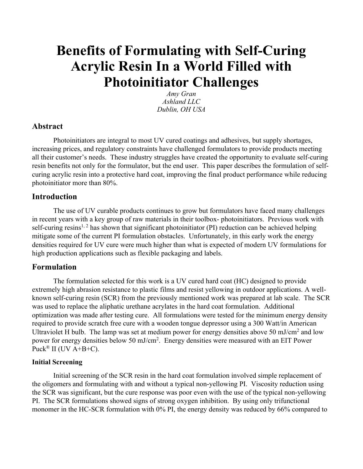# **Benefits of Formulating with Self-Curing Acrylic Resin In a World Filled with Photoinitiator Challenges**

*Amy Gran Ashland LLC Dublin, OH USA*

## **Abstract**

Photoinitiators are integral to most UV cured coatings and adhesives, but supply shortages, increasing prices, and regulatory constraints have challenged formulators to provide products meeting all their customer's needs. These industry struggles have created the opportunity to evaluate self-curing resin benefits not only for the formulator, but the end user. This paper describes the formulation of selfcuring acrylic resin into a protective hard coat, improving the final product performance while reducing photoinitiator more than 80%.

## **Introduction**

The use of UV curable products continues to grow but formulators have faced many challenges in recent years with a key group of raw materials in their toolbox- photoinitiators. Previous work with self-curing resins<sup>1, 2</sup> has shown that significant photoinitiator (PI) reduction can be achieved helping mitigate some of the current PI formulation obstacles. Unfortunately, in this early work the energy densities required for UV cure were much higher than what is expected of modern UV formulations for high production applications such as flexible packaging and labels.

## **Formulation**

The formulation selected for this work is a UV cured hard coat (HC) designed to provide extremely high abrasion resistance to plastic films and resist yellowing in outdoor applications. A wellknown self-curing resin (SCR) from the previously mentioned work was prepared at lab scale. The SCR was used to replace the aliphatic urethane acrylates in the hard coat formulation. Additional optimization was made after testing cure. All formulations were tested for the minimum energy density required to provide scratch free cure with a wooden tongue depressor using a 300 Watt/in American Ultraviolet H bulb. The lamp was set at medium power for energy densities above 50 mJ/cm2 and low power for energy densities below 50 mJ/cm<sup>2</sup>. Energy densities were measured with an EIT Power Puck<sup>®</sup> II (UV  $A+B+C$ ).

## **Initial Screening**

Initial screening of the SCR resin in the hard coat formulation involved simple replacement of the oligomers and formulating with and without a typical non-yellowing PI. Viscosity reduction using the SCR was significant, but the cure response was poor even with the use of the typical non-yellowing PI. The SCR formulations showed signs of strong oxygen inhibition. By using only trifunctional monomer in the HC-SCR formulation with 0% PI, the energy density was reduced by 66% compared to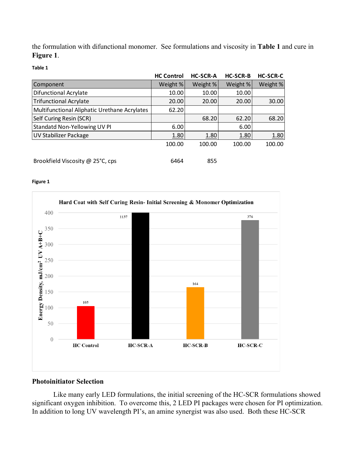the formulation with difunctional monomer. See formulations and viscosity in **Table 1** and cure in **Figure 1**.

**Table 1**

|                                              | <b>HC Control</b> | <b>HC-SCR-A</b> | <b>HC-SCR-B</b> | <b>HC-SCR-C</b> |
|----------------------------------------------|-------------------|-----------------|-----------------|-----------------|
| Component                                    | Weight %          | Weight %        | Weight %        | Weight %        |
| <b>Difunctional Acrylate</b>                 | 10.00             | 10.00           | 10.00           |                 |
| <b>Trifunctional Acrylate</b>                | 20.00             | 20.00           | 20.00           | 30.00           |
| Multifunctional Aliphatic Urethane Acrylates | 62.20             |                 |                 |                 |
| Self Curing Resin (SCR)                      |                   | 68.20           | 62.20           | 68.20           |
| Standatd Non-Yellowing UV PI                 | 6.00              |                 | 6.00            |                 |
| <b>UV Stabilizer Package</b>                 | 1.80              | 1.80            | 1.80            | 1.80            |
|                                              | 100.00            | 100.00          | 100.00          | 100.00          |
| Brookfield Viscosity @ 25°C, cps             | 6464              | 855             |                 |                 |

#### **Figure 1**



## **Photoinitiator Selection**

Like many early LED formulations, the initial screening of the HC-SCR formulations showed significant oxygen inhibition. To overcome this, 2 LED PI packages were chosen for PI optimization. In addition to long UV wavelength PI's, an amine synergist was also used. Both these HC-SCR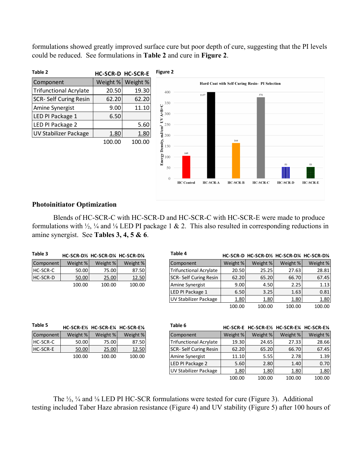formulations showed greatly improved surface cure but poor depth of cure, suggesting that the PI levels could be reduced. See formulations in **Table 2** and cure in **Figure 2**.



### **Photoinitiator Optimization**

Blends of HC-SCR-C with HC-SCR-D and HC-SCR-C with HC-SCR-E were made to produce formulations with  $\frac{1}{2}$ ,  $\frac{1}{4}$  and  $\frac{1}{8}$  LED PI package 1 & 2. This also resulted in corresponding reductions in amine synergist. See **Tables 3, 4, 5 & 6**.

| Table 3         |          |          | HC-SCR-D½ HC-SCR-D¼ HC-SCR-D½ | Table 4                       |          | HC-SCR-D HC-SCR-D1/2 HC-SCR-D1/4 HC-SCR-D1/8 |          |          |
|-----------------|----------|----------|-------------------------------|-------------------------------|----------|----------------------------------------------|----------|----------|
| Component       | Weight % | Weight % | Weight %                      | Component                     | Weight % | Weight %                                     | Weight % | Weight % |
| <b>HC-SCR-C</b> | 50.00    | 75.00    | 87.50                         | Trifunctional Acrylate        | 20.50    | 25.25                                        | 27.63    | 28.81    |
| HC-SCR-D        | 50.00    | 25.00    | 12.50                         | SCR- Self Curing Resin        | 62.20    | 65.20                                        | 66.70    | 67.45    |
|                 | 100.00   | 100.00   | 100.00                        | Amine Synergist               | 9.00     | 4.50                                         | 2.25     | 1.13     |
|                 |          |          |                               | LED PI Package 1              | 6.50     | 3.25                                         | 1.63     | 0.81     |
|                 |          |          |                               | UV Stabilizer Package         | 1.80     | 1.80                                         | 1.80     | 1.80     |
|                 |          |          |                               |                               | 100.00   | 100.00                                       | 100.00   | 100.00   |
| Table 5         |          |          | HC-SCR-E½ HC-SCR-E¼ HC-SCR-E½ | Table 6                       |          | HC-SCR-E HC-SCR-E½ HC-SCR-E¼ HC-SCR-E½       |          |          |
| Component       | Weight % | Weight % | Weight %                      | Component                     | Weight % | Weight %                                     | Weight % | Weight % |
| HC-SCR-C        | 50.00    | 75.00    | 87.50                         | <b>Trifunctional Acrylate</b> | 19.30    | 24.65                                        | 27.33    | 28.66    |
| <b>HC-SCR-E</b> | 50.00    | 25.00    | 12.50                         | SCR- Self Curing Resin        | 62.20    | 65.20                                        | 66.70    | 67.45    |
|                 | 100.00   | 100.00   | 100.00                        | Amine Synergist               | 11.10    | 5.55                                         | 2.78     | 1.39     |
|                 |          |          |                               | LED PI Package 2              | 5.60     | 2.80                                         | 1.40     | 0.70     |
|                 |          |          |                               | UV Stabilizer Package         | 1.80     | 1.80                                         | 1.80     | 1.80     |
|                 |          |          |                               |                               | 100.00   | 100.00                                       | 100.00   | 100.00   |

The  $\frac{1}{2}$ ,  $\frac{1}{4}$  and  $\frac{1}{8}$  LED PI HC-SCR formulations were tested for cure (Figure 3). Additional testing included Taber Haze abrasion resistance (Figure 4) and UV stability (Figure 5) after 100 hours of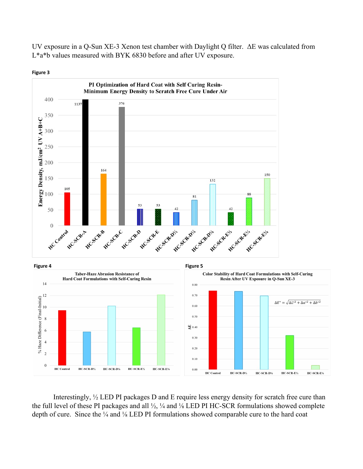UV exposure in a Q-Sun XE-3 Xenon test chamber with Daylight Q filter. ΔE was calculated from L\*a\*b values measured with BYK 6830 before and after UV exposure.



**Figure 3**



Interestingly, ½ LED PI packages D and E require less energy density for scratch free cure than the full level of these PI packages and all ½, ¼ and ⅛ LED PI HC-SCR formulations showed complete depth of cure. Since the ¼ and ¼ LED PI formulations showed comparable cure to the hard coat